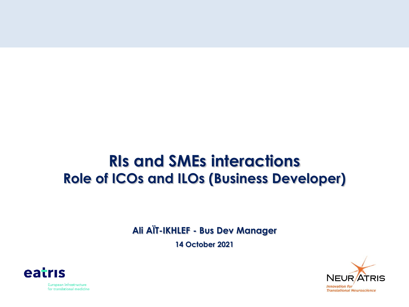## **RIs and SMEs interactions Role of ICOs and ILOs (Business Developer)**

**Ali AÏT-IKHLEF - Bus Dev Manager**

**14 October 2021**





European infrastructure for translational medicine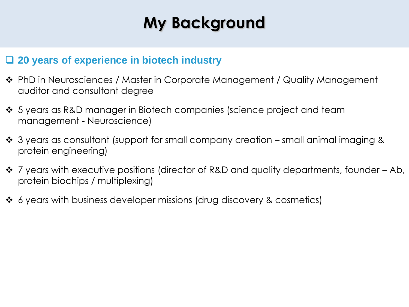# **My Background**

#### ❑ **20 years of experience in biotech industry**

- ❖ PhD in Neurosciences / Master in Corporate Management / Quality Management auditor and consultant degree
- ❖ 5 years as R&D manager in Biotech companies (science project and team management - Neuroscience)
- ❖ 3 years as consultant (support for small company creation small animal imaging & protein engineering)
- ❖ 7 years with executive positions (director of R&D and quality departments, founder Ab, protein biochips / multiplexing)
- ❖ 6 years with business developer missions (drug discovery & cosmetics)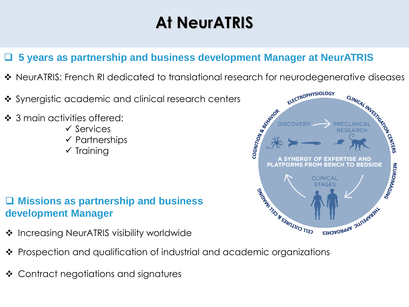# **At NeurATRIS**

### ❑ **5 years as partnership and business development Manager at NeurATRIS**

- ❖ NeurATRIS: French RI dedicated to translational research for neurodegenerative diseases
- ❖ Synergistic academic and clinical research centers
- ❖ 3 main activities offered:
	- ✓ Services
	- ✓ Partnerships
	- $\checkmark$  Training

### ❑ **Missions as partnership and business development Manager**

- ❖ Increasing NeurATRIS visibility worldwide
- ❖ Prospection and qualification of industrial and academic organizations
- ❖ Contract negotiations and signatures

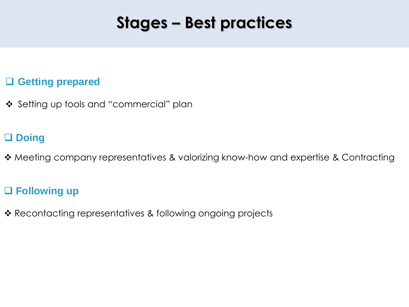## **Stages – Best practices**

### ❑ **Getting prepared**

❖ Setting up tools and "commercial" plan

## ❑ **Doing**

❖ Meeting company representatives & valorizing know-how and expertise & Contracting

### ❑ **Following up**

❖ Recontacting representatives & following ongoing projects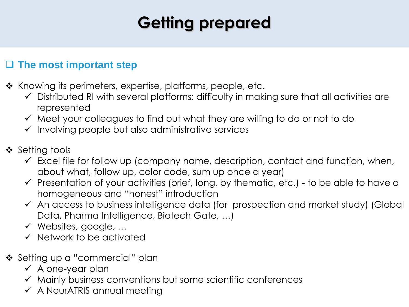# **Getting prepared**

### ❑ **The most important step**

- ❖ Knowing its perimeters, expertise, platforms, people, etc.
	- ✓ Distributed RI with several platforms: difficulty in making sure that all activities are represented
	- ✓ Meet your colleagues to find out what they are willing to do or not to do
	- $\checkmark$  Involving people but also administrative services
- ❖ Setting tools
	- $\checkmark$  Excel file for follow up (company name, description, contact and function, when, about what, follow up, color code, sum up once a year)
	- $\checkmark$  Presentation of your activities (brief, long, by thematic, etc.) to be able to have a homogeneous and "honest" introduction
	- ✓ An access to business intelligence data (for prospection and market study) (Global Data, Pharma Intelligence, Biotech Gate, …)
	- ✓ Websites, google, …
	- ✓ Network to be activated
- ❖ Setting up a "commercial" plan
	- $\checkmark$  A one-year plan
	- ✓ Mainly business conventions but some scientific conferences
	- $\checkmark$  A NeurATRIS annual meeting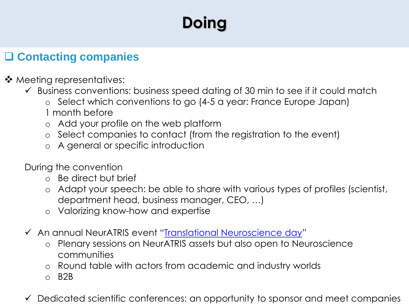# **Doing**

## ❑ **Contacting companies**

- ❖ Meeting representatives:
	- $\checkmark$  Business conventions: business speed dating of 30 min to see if it could match
		- o Select which conventions to go (4-5 a year: France Europe Japan)
		- 1 month before
		- o Add your profile on the web platform
		- o Select companies to contact (from the registration to the event)
		- o A general or specific introduction
	- During the convention
		- o Be direct but brief
		- o Adapt your speech: be able to share with various types of profiles (scientist, department head, business manager, CEO, …)
		- o Valorizing know-how and expertise
	- ✓ An annual NeurATRIS event "[Translational Neuroscience day](https://translational-neuroscience-2021.b2match.io/)"
		- o Plenary sessions on NeurATRIS assets but also open to Neuroscience communities
		- o Round table with actors from academic and industry worlds
		- o B2B
	- ✓ Dedicated scientific conferences: an opportunity to sponsor and meet companies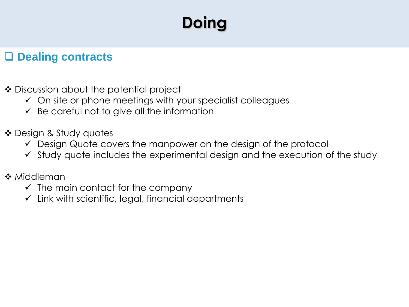# **Doing**

## ❑ **Dealing contracts**

- ❖ Discussion about the potential project
	- $\checkmark$  On site or phone meetings with your specialist colleagues
	- $\checkmark$  Be careful not to give all the information
- ❖ Design & Study quotes
	- $\checkmark$  Design Quote covers the manpower on the design of the protocol
	- $\checkmark$  Study quote includes the experimental design and the execution of the study
- ❖ Middleman
	- $\checkmark$  The main contact for the company
	- $\checkmark$  Link with scientific, legal, financial departments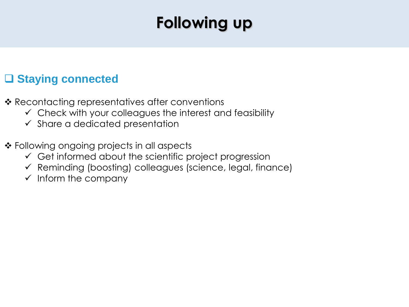# **Following up**

## ❑ **Staying connected**

- ❖ Recontacting representatives after conventions
	- $\checkmark$  Check with your colleagues the interest and feasibility
	- $\checkmark$  Share a dedicated presentation
- ❖ Following ongoing projects in all aspects
	- $\checkmark$  Get informed about the scientific project progression
	- $\checkmark$  Reminding (boosting) colleagues (science, legal, finance)
	- $\checkmark$  Inform the company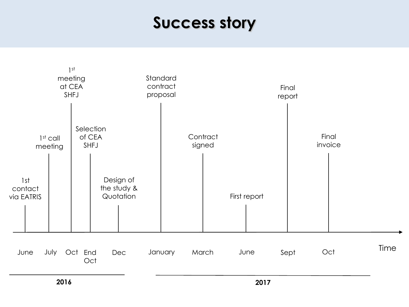## **Success story**



**2016**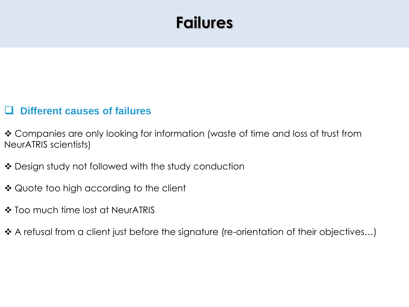## **Failures**

#### ❑ **Different causes of failures**

❖ Companies are only looking for information (waste of time and loss of trust from NeurATRIS scientists)

- ❖ Design study not followed with the study conduction
- ❖ Quote too high according to the client
- ❖ Too much time lost at NeurATRIS
- ❖ A refusal from a client just before the signature (re-orientation of their objectives…)